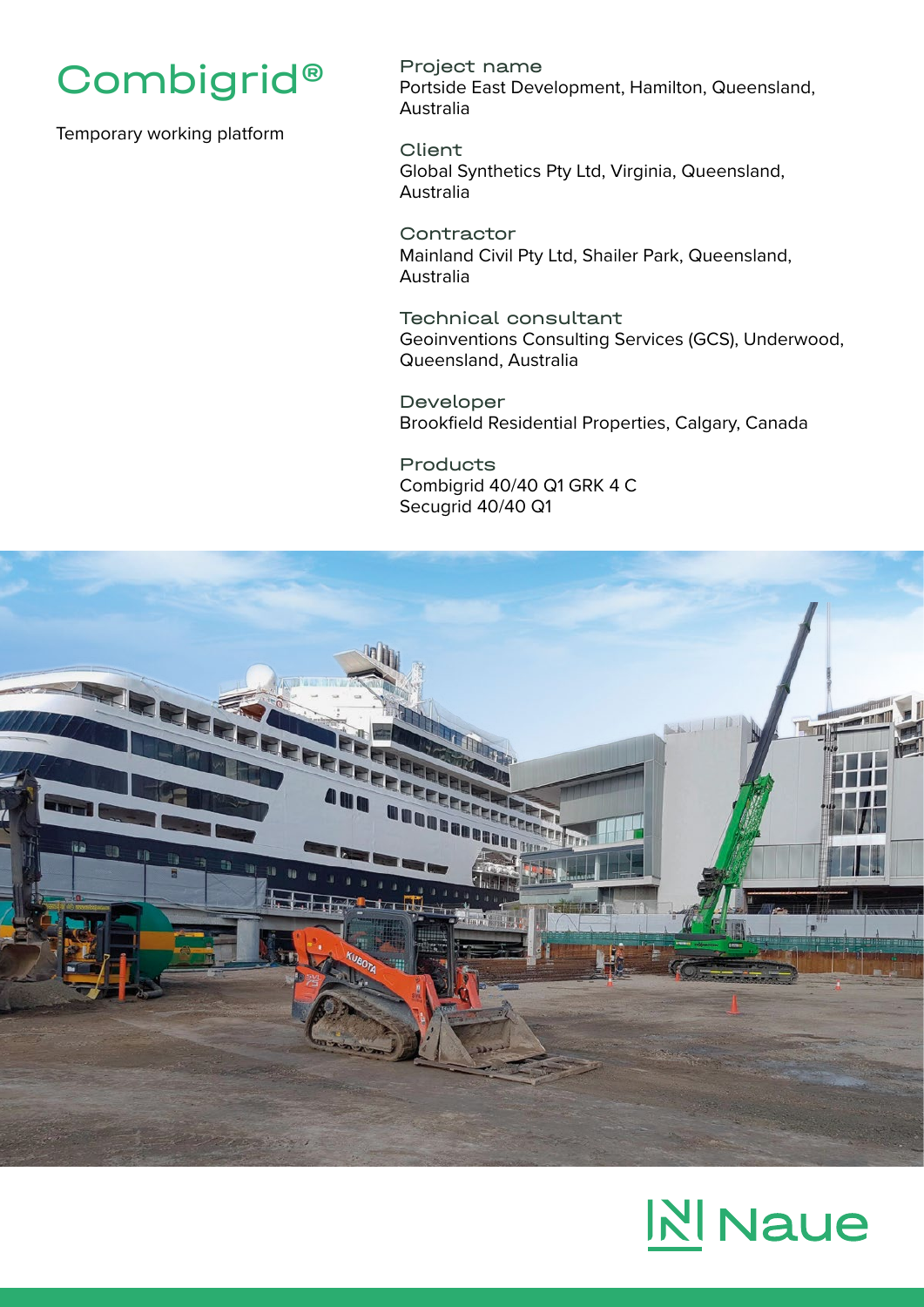

Temporary working platform

Project name Portside East Development, Hamilton, Queensland, Australia

Client Global Synthetics Pty Ltd, Virginia, Queensland, Australia

**Contractor** Mainland Civil Pty Ltd, Shailer Park, Queensland, Australia

Technical consultant Geoinventions Consulting Services (GCS), Underwood, Queensland, Australia

Developer Brookfield Residential Properties, Calgary, Canada

Products Combigrid 40/40 Q1 GRK 4 C Secugrid 40/40 Q1



## **N** Naue